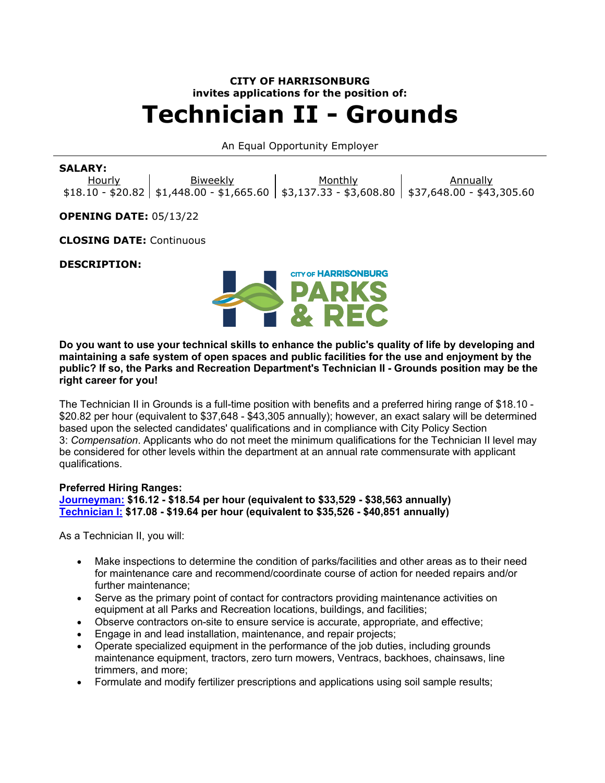# **CITY OF HARRISONBURG invites applications for the position of: Technician II - Grounds**

# An Equal Opportunity Employer

## **SALARY:**

Hourly \$18.10 - \$20.82 \$1,448.00 - \$1,665.60 \$3,137.33 - \$3,608.80 \$37,648.00 - \$43,305.60 Biweekly Monthly **Annually** 

**OPENING DATE:** 05/13/22

**CLOSING DATE:** Continuous

#### **DESCRIPTION:**



**Do you want to use your technical skills to enhance the public's quality of life by developing and maintaining a safe system of open spaces and public facilities for the use and enjoyment by the public? If so, the Parks and Recreation Department's Technician II - Grounds position may be the right career for you!**

The Technician II in Grounds is a full-time position with benefits and a preferred hiring range of \$18.10 - \$20.82 per hour (equivalent to \$37,648 - \$43,305 annually); however, an exact salary will be determined based upon the selected candidates' qualifications and in compliance with City Policy Section 3: *Compensation*. Applicants who do not meet the minimum qualifications for the Technician II level may be considered for other levels within the department at an annual rate commensurate with applicant qualifications.

#### **Preferred Hiring Ranges:**

**[Journeyman:](https://www.governmentjobs.com/careers/harrisonburg/classspecs/1012533?keywords=5817&pagetype=classSpecifications) \$16.12 - \$18.54 per hour (equivalent to \$33,529 - \$38,563 annually) [Technician I:](https://www.governmentjobs.com/careers/harrisonburg/classspecs/1012563?keywords=5834&pagetype=classSpecifications) \$17.08 - \$19.64 per hour (equivalent to \$35,526 - \$40,851 annually)**

As a Technician II, you will:

- Make inspections to determine the condition of parks/facilities and other areas as to their need for maintenance care and recommend/coordinate course of action for needed repairs and/or further maintenance;
- Serve as the primary point of contact for contractors providing maintenance activities on equipment at all Parks and Recreation locations, buildings, and facilities;
- Observe contractors on-site to ensure service is accurate, appropriate, and effective;
- Engage in and lead installation, maintenance, and repair projects;
- Operate specialized equipment in the performance of the job duties, including grounds maintenance equipment, tractors, zero turn mowers, Ventracs, backhoes, chainsaws, line trimmers, and more;
- Formulate and modify fertilizer prescriptions and applications using soil sample results;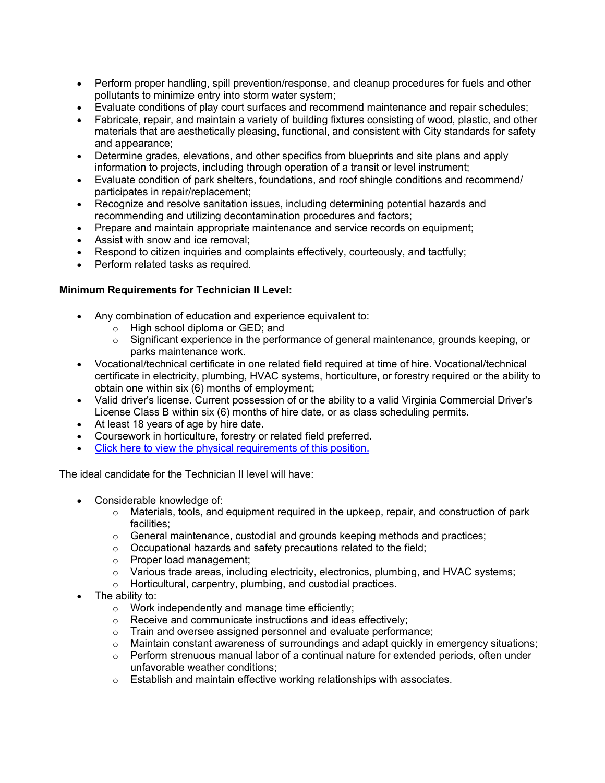- Perform proper handling, spill prevention/response, and cleanup procedures for fuels and other pollutants to minimize entry into storm water system;
- Evaluate conditions of play court surfaces and recommend maintenance and repair schedules;
- Fabricate, repair, and maintain a variety of building fixtures consisting of wood, plastic, and other materials that are aesthetically pleasing, functional, and consistent with City standards for safety and appearance;
- Determine grades, elevations, and other specifics from blueprints and site plans and apply information to projects, including through operation of a transit or level instrument;
- Evaluate condition of park shelters, foundations, and roof shingle conditions and recommend/ participates in repair/replacement;
- Recognize and resolve sanitation issues, including determining potential hazards and recommending and utilizing decontamination procedures and factors;
- Prepare and maintain appropriate maintenance and service records on equipment;
- Assist with snow and ice removal;
- Respond to citizen inquiries and complaints effectively, courteously, and tactfully;
- Perform related tasks as required.

# **Minimum Requirements for Technician II Level:**

- Any combination of education and experience equivalent to:
	- o High school diploma or GED; and
	- $\circ$  Significant experience in the performance of general maintenance, grounds keeping, or parks maintenance work.
- Vocational/technical certificate in one related field required at time of hire. Vocational/technical certificate in electricity, plumbing, HVAC systems, horticulture, or forestry required or the ability to obtain one within six (6) months of employment;
- Valid driver's license. Current possession of or the ability to a valid Virginia Commercial Driver's License Class B within six (6) months of hire date, or as class scheduling permits.
- At least 18 years of age by hire date.
- Coursework in horticulture, forestry or related field preferred.
- [Click here to view the physical requirements of this position.](https://www.governmentjobs.com/careers/harrisonburg/classspecs/1170458?keywords=5840&pagetype=classSpecifications)

The ideal candidate for the Technician II level will have:

- Considerable knowledge of:
	- $\circ$  Materials, tools, and equipment required in the upkeep, repair, and construction of park facilities;
	- $\circ$  General maintenance, custodial and grounds keeping methods and practices;
	- $\circ$  Occupational hazards and safety precautions related to the field;
	- o Proper load management;
	- $\circ$  Various trade areas, including electricity, electronics, plumbing, and HVAC systems;
	- o Horticultural, carpentry, plumbing, and custodial practices.
- The ability to:
	- $\circ$  Work independently and manage time efficiently;
	- o Receive and communicate instructions and ideas effectively;
	- o Train and oversee assigned personnel and evaluate performance;
	- ⊙ Maintain constant awareness of surroundings and adapt quickly in emergency situations;<br>○ Perform strenuous manual labor of a continual nature for extended periods. often under
	- Perform strenuous manual labor of a continual nature for extended periods, often under unfavorable weather conditions;
	- o Establish and maintain effective working relationships with associates.